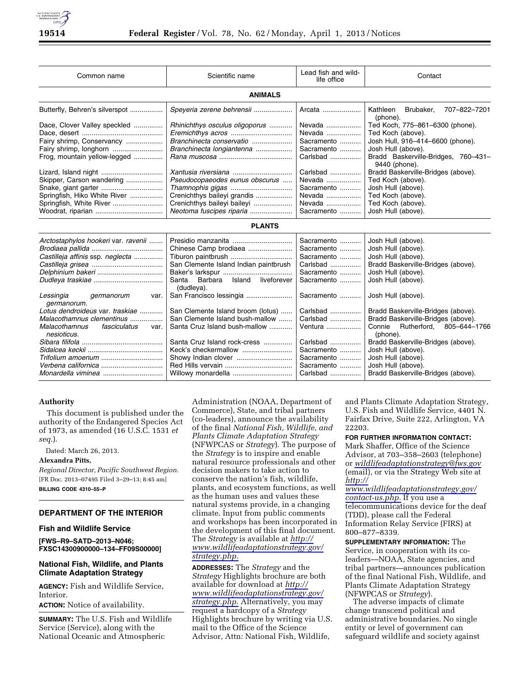| Common name                                                 | Scientific name                                      | Lead fish and wild-<br>life office | Contact                                              |
|-------------------------------------------------------------|------------------------------------------------------|------------------------------------|------------------------------------------------------|
| <b>ANIMALS</b>                                              |                                                      |                                    |                                                      |
| Butterfly, Behren's silverspot                              | Speyeria zerene behrensii                            | Arcata                             | Kathleen<br>Brubaker,<br>707-822-7201<br>(phone).    |
| Dace, Clover Valley speckled                                | Rhinichthys osculus oligoporus                       | Nevada                             | Ted Koch, 775-861-6300 (phone).                      |
|                                                             |                                                      | Nevada                             | Ted Koch (above).                                    |
| Fairy shrimp, Conservancy                                   | Branchinecta conservatio                             | Sacramento                         | Josh Hull, 916-414-6600 (phone).                     |
| Fairy shrimp, longhorn                                      | Branchinecta longiantenna                            | Sacramento                         | Josh Hull (above).                                   |
| Frog, mountain yellow-legged                                |                                                      | Carlsbad                           | Bradd Baskerville-Bridges, 760-431-<br>9440 (phone). |
|                                                             | Xantusia riversiana                                  | Carlsbad                           | Bradd Baskerville-Bridges (above).                   |
| Skipper, Carson wandering                                   | Pseudocopaeodes eunus obscurus                       | Nevada                             | Ted Koch (above).                                    |
|                                                             | Thamnophis gigas                                     | Sacramento                         | Josh Hull (above).                                   |
| Springfish, Hiko White River                                | Crenichthys baileyi grandis                          | Nevada                             | Ted Koch (above).                                    |
| Springfish, White River                                     | Crenichthys baileyi baileyi                          | Nevada                             | Ted Koch (above).                                    |
|                                                             | Neotoma fuscipes riparia                             | Sacramento                         | Josh Hull (above).                                   |
| <b>PLANTS</b>                                               |                                                      |                                    |                                                      |
| Arctostaphylos hookeri var. ravenii                         | Presidio manzanita                                   | Sacramento                         | Josh Hull (above).                                   |
|                                                             | Chinese Camp brodiaea                                | Sacramento                         | Josh Hull (above).                                   |
| Castilleja affinis ssp. neglecta                            | Tiburon paintbrush                                   | Sacramento                         | Josh Hull (above).                                   |
|                                                             | San Clemente Island Indian paintbrush                | Carlsbad                           | Bradd Baskerville-Bridges (above).                   |
|                                                             |                                                      | Sacramento                         | Josh Hull (above).                                   |
|                                                             | Santa<br>Island liveforever<br>Barbara<br>(dudleya). | Sacramento                         | Josh Hull (above).                                   |
| Lessingia<br>germanorum<br>var.<br>germanorum.              | San Francisco lessingia                              | Sacramento                         | Josh Hull (above).                                   |
| Lotus dendroideus var. traskiae                             | San Clemente Island broom (lotus)                    | Carlsbad                           | Bradd Baskerville-Bridges (above).                   |
| Malacothamnus clementinus                                   | San Clemente Island bush-mallow                      | Carlsbad                           | Bradd Baskerville-Bridges (above).                   |
| <b>Malacothamnus</b><br>fasciculatus<br>var.<br>nesioticus. | Santa Cruz Island bush-mallow                        | Ventura                            | Connie Rutherford, 805-644-1766<br>(phone).          |
|                                                             | Santa Cruz Island rock-cress                         | Carlsbad                           | Bradd Baskerville-Bridges (above).                   |
|                                                             |                                                      | Sacramento                         | Josh Hull (above).                                   |
|                                                             | Showy Indian clover                                  | Sacramento                         | Josh Hull (above).                                   |
|                                                             |                                                      | Sacramento                         | Josh Hull (above).                                   |
|                                                             | Willowy monardella                                   | Carlsbad                           | Bradd Baskerville-Bridges (above).                   |

### **Authority**

This document is published under the authority of the Endangered Species Act of 1973, as amended (16 U.S.C. 1531 *et seq.*).

Dated: March 26, 2013.

# **Alexandra Pitts,**

*Regional Director, Pacific Southwest Region.*  [FR Doc. 2013–07495 Filed 3–29–13; 8:45 am] **BILLING CODE 4310–55–P** 

# **DEPARTMENT OF THE INTERIOR**

### **Fish and Wildlife Service**

**[FWS–R9–SATD–2013–N046; FXSC14300900000–134–FF09S00000]** 

## **National Fish, Wildlife, and Plants Climate Adaptation Strategy**

**AGENCY:** Fish and Wildlife Service, Interior.

**ACTION:** Notice of availability.

**SUMMARY:** The U.S. Fish and Wildlife Service (Service), along with the National Oceanic and Atmospheric

Administration (NOAA, Department of Commerce), State, and tribal partners (co-leaders), announce the availability of the final *National Fish, Wildlife, and Plants Climate Adaptation Strategy*  (NFWPCAS or *Strategy*). The purpose of the *Strategy* is to inspire and enable natural resource professionals and other decision makers to take action to conserve the nation's fish, wildlife, plants, and ecosystem functions, as well as the human uses and values these natural systems provide, in a changing climate. Input from public comments and workshops has been incorporated in the development of this final document. The *Strategy* is available at *[http://](http://www.wildlifeadaptationstrategy.gov/strategy.php)  [www.wildlifeadaptationstrategy.gov/](http://www.wildlifeadaptationstrategy.gov/strategy.php)  [strategy.php.](http://www.wildlifeadaptationstrategy.gov/strategy.php)* 

**ADDRESSES:** The *Strategy* and the *Strategy* Highlights brochure are both available for download at *[http://](http://www.wildlifeadaptationstrategy.gov/strategy.php)  [www.wildlifeadaptationstrategy.gov/](http://www.wildlifeadaptationstrategy.gov/strategy.php)  [strategy.php.](http://www.wildlifeadaptationstrategy.gov/strategy.php)* Alternatively, you may request a hardcopy of a *Strategy*  Highlights brochure by writing via U.S. mail to the Office of the Science Advisor, Attn: National Fish, Wildlife,

and Plants Climate Adaptation Strategy, U.S. Fish and Wildlife Service, 4401 N. Fairfax Drive, Suite 222, Arlington, VA 22203.

### **FOR FURTHER INFORMATION CONTACT:**

Mark Shaffer, Office of the Science Advisor, at 703–358–2603 (telephone) or *[wildlifeadaptationstrategy@fws.gov](mailto:wildlifeadaptationstrategy@fws.gov)*  (email), or via the Strategy Web site at *[http://](http://www.wildlifeadaptationstrategy.gov/contact-us.php)* 

*[www.wildlifeadaptationstrategy.gov/](http://www.wildlifeadaptationstrategy.gov/contact-us.php)  [contact-us.php.](http://www.wildlifeadaptationstrategy.gov/contact-us.php)* If you use a telecommunications device for the deaf (TDD), please call the Federal Information Relay Service (FIRS) at 800–877–8339.

**SUPPLEMENTARY INFORMATION:** The Service, in cooperation with its coleaders—NOAA, State agencies, and tribal partners—announces publication of the final National Fish, Wildlife, and Plants Climate Adaptation Strategy (NFWPCAS or *Strategy*).

The adverse impacts of climate change transcend political and administrative boundaries. No single entity or level of government can safeguard wildlife and society against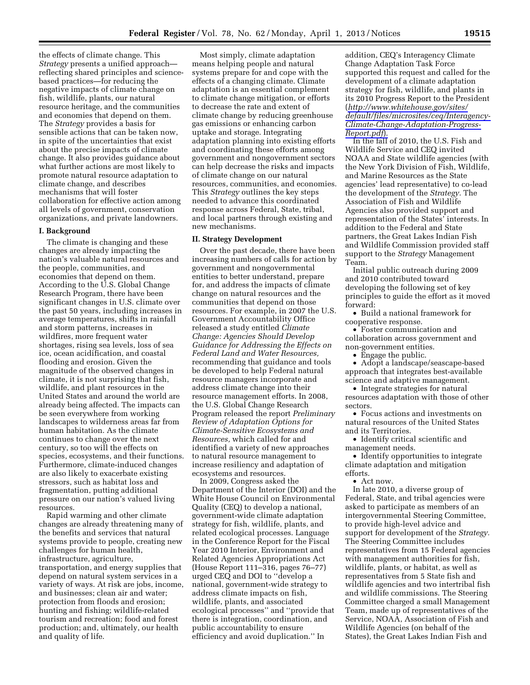the effects of climate change. This *Strategy* presents a unified approach reflecting shared principles and sciencebased practices—for reducing the negative impacts of climate change on fish, wildlife, plants, our natural resource heritage, and the communities and economies that depend on them. The *Strategy* provides a basis for sensible actions that can be taken now, in spite of the uncertainties that exist about the precise impacts of climate change. It also provides guidance about what further actions are most likely to promote natural resource adaptation to climate change, and describes mechanisms that will foster collaboration for effective action among all levels of government, conservation organizations, and private landowners.

### **I. Background**

The climate is changing and these changes are already impacting the nation's valuable natural resources and the people, communities, and economies that depend on them. According to the U.S. Global Change Research Program, there have been significant changes in U.S. climate over the past 50 years, including increases in average temperatures, shifts in rainfall and storm patterns, increases in wildfires, more frequent water shortages, rising sea levels, loss of sea ice, ocean acidification, and coastal flooding and erosion. Given the magnitude of the observed changes in climate, it is not surprising that fish, wildlife, and plant resources in the United States and around the world are already being affected. The impacts can be seen everywhere from working landscapes to wilderness areas far from human habitation. As the climate continues to change over the next century, so too will the effects on species, ecosystems, and their functions. Furthermore, climate-induced changes are also likely to exacerbate existing stressors, such as habitat loss and fragmentation, putting additional pressure on our nation's valued living resources.

Rapid warming and other climate changes are already threatening many of the benefits and services that natural systems provide to people, creating new challenges for human health, infrastructure, agriculture, transportation, and energy supplies that depend on natural system services in a variety of ways. At risk are jobs, income, and businesses; clean air and water; protection from floods and erosion; hunting and fishing; wildlife-related tourism and recreation; food and forest production; and, ultimately, our health and quality of life.

Most simply, climate adaptation means helping people and natural systems prepare for and cope with the effects of a changing climate. Climate adaptation is an essential complement to climate change mitigation, or efforts to decrease the rate and extent of climate change by reducing greenhouse gas emissions or enhancing carbon uptake and storage. Integrating adaptation planning into existing efforts and coordinating these efforts among government and nongovernment sectors can help decrease the risks and impacts of climate change on our natural resources, communities, and economies. This *Strategy* outlines the key steps needed to advance this coordinated response across Federal, State, tribal, and local partners through existing and new mechanisms.

### **II. Strategy Development**

Over the past decade, there have been increasing numbers of calls for action by government and nongovernmental entities to better understand, prepare for, and address the impacts of climate change on natural resources and the communities that depend on those resources. For example, in 2007 the U.S. Government Accountability Office released a study entitled *Climate Change: Agencies Should Develop Guidance for Addressing the Effects on Federal Land and Water Resources,*  recommending that guidance and tools be developed to help Federal natural resource managers incorporate and address climate change into their resource management efforts. In 2008, the U.S. Global Change Research Program released the report *Preliminary Review of Adaptation Options for Climate-Sensitive Ecosystems and Resources,* which called for and identified a variety of new approaches to natural resource management to increase resiliency and adaptation of ecosystems and resources.

In 2009, Congress asked the Department of the Interior (DOI) and the White House Council on Environmental Quality (CEQ) to develop a national, government-wide climate adaptation strategy for fish, wildlife, plants, and related ecological processes. Language in the Conference Report for the Fiscal Year 2010 Interior, Environment and Related Agencies Appropriations Act (House Report 111–316, pages 76–77) urged CEQ and DOI to ''develop a national, government-wide strategy to address climate impacts on fish, wildlife, plants, and associated ecological processes'' and ''provide that there is integration, coordination, and public accountability to ensure efficiency and avoid duplication.'' In

addition, CEQ's Interagency Climate Change Adaptation Task Force supported this request and called for the development of a climate adaptation strategy for fish, wildlife, and plants in its 2010 Progress Report to the President (*[http://www.whitehouse.gov/sites/](http://www.whitehouse.gov/sites/default/files/microsites/ceq/Interagency-Climate-Change-Adaptation-Progress-Report.pdf)  [default/files/microsites/ceq/Interagency-](http://www.whitehouse.gov/sites/default/files/microsites/ceq/Interagency-Climate-Change-Adaptation-Progress-Report.pdf)[Climate-Change-Adaptation-Progress-](http://www.whitehouse.gov/sites/default/files/microsites/ceq/Interagency-Climate-Change-Adaptation-Progress-Report.pdf)[Report.pdf](http://www.whitehouse.gov/sites/default/files/microsites/ceq/Interagency-Climate-Change-Adaptation-Progress-Report.pdf)*).

In the fall of 2010, the U.S. Fish and Wildlife Service and CEQ invited NOAA and State wildlife agencies (with the New York Division of Fish, Wildlife, and Marine Resources as the State agencies' lead representative) to co-lead the development of the *Strategy.* The Association of Fish and Wildlife Agencies also provided support and representation of the States' interests. In addition to the Federal and State partners, the Great Lakes Indian Fish and Wildlife Commission provided staff support to the *Strategy* Management Team.

Initial public outreach during 2009 and 2010 contributed toward developing the following set of key principles to guide the effort as it moved forward:

• Build a national framework for cooperative response.

• Foster communication and collaboration across government and non-government entities.

• Engage the public.

• Adopt a landscape/seascape-based approach that integrates best-available science and adaptive management.

• Integrate strategies for natural resources adaptation with those of other sectors.

• Focus actions and investments on natural resources of the United States and its Territories.

• Identify critical scientific and management needs.

• Identify opportunities to integrate climate adaptation and mitigation efforts.

• Act now.

In late 2010, a diverse group of Federal, State, and tribal agencies were asked to participate as members of an intergovernmental Steering Committee, to provide high-level advice and support for development of the *Strategy.*  The Steering Committee includes representatives from 15 Federal agencies with management authorities for fish, wildlife, plants, or habitat, as well as representatives from 5 State fish and wildlife agencies and two intertribal fish and wildlife commissions. The Steering Committee charged a small Management Team, made up of representatives of the Service, NOAA, Association of Fish and Wildlife Agencies (on behalf of the States), the Great Lakes Indian Fish and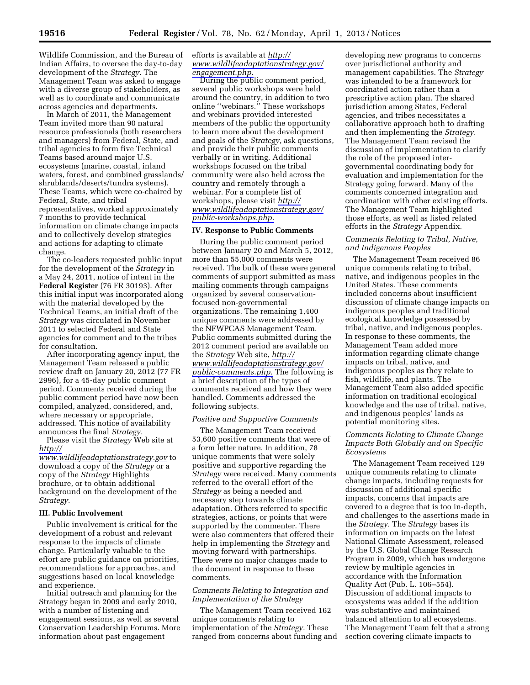Wildlife Commission, and the Bureau of Indian Affairs, to oversee the day-to-day development of the *Strategy.* The Management Team was asked to engage with a diverse group of stakeholders, as well as to coordinate and communicate across agencies and departments.

In March of 2011, the Management Team invited more than 90 natural resource professionals (both researchers and managers) from Federal, State, and tribal agencies to form five Technical Teams based around major U.S. ecosystems (marine, coastal, inland waters, forest, and combined grasslands/ shrublands/deserts/tundra systems). These Teams, which were co-chaired by Federal, State, and tribal representatives, worked approximately 7 months to provide technical information on climate change impacts and to collectively develop strategies and actions for adapting to climate change.

The co-leaders requested public input for the development of the *Strategy* in a May 24, 2011, notice of intent in the **Federal Register** (76 FR 30193). After this initial input was incorporated along with the material developed by the Technical Teams, an initial draft of the *Strategy* was circulated in November 2011 to selected Federal and State agencies for comment and to the tribes for consultation.

After incorporating agency input, the Management Team released a public review draft on January 20, 2012 (77 FR 2996), for a 45-day public comment period. Comments received during the public comment period have now been compiled, analyzed, considered, and, where necessary or appropriate, addressed. This notice of availability announces the final *Strategy.* 

Please visit the *Strategy* Web site at *[http://](http://www.wildlifeadaptationstrategy.gov)* 

*[www.wildlifeadaptationstrategy.gov](http://www.wildlifeadaptationstrategy.gov)* to download a copy of the *Strategy* or a copy of the *Strategy* Highlights brochure, or to obtain additional background on the development of the *Strategy.* 

### **III. Public Involvement**

Public involvement is critical for the development of a robust and relevant response to the impacts of climate change. Particularly valuable to the effort are public guidance on priorities, recommendations for approaches, and suggestions based on local knowledge and experience.

Initial outreach and planning for the Strategy began in 2009 and early 2010, with a number of listening and engagement sessions, as well as several Conservation Leadership Forums. More information about past engagement

efforts is available at *[http://](http://www.wildlifeadaptationstrategy.gov/engagement.php)  [www.wildlifeadaptationstrategy.gov/](http://www.wildlifeadaptationstrategy.gov/engagement.php)  [engagement.php.](http://www.wildlifeadaptationstrategy.gov/engagement.php)* 

During the public comment period, several public workshops were held around the country, in addition to two online ''webinars.'' These workshops and webinars provided interested members of the public the opportunity to learn more about the development and goals of the *Strategy,* ask questions, and provide their public comments verbally or in writing. Additional workshops focused on the tribal community were also held across the country and remotely through a webinar. For a complete list of workshops, please visit *[http://](http://www.wildlifeadaptationstrategy.gov/public-workshops.php) [www.wildlifeadaptationstrategy.gov/](http://www.wildlifeadaptationstrategy.gov/public-workshops.php)  [public-workshops.php.](http://www.wildlifeadaptationstrategy.gov/public-workshops.php)* 

### **IV. Response to Public Comments**

During the public comment period between January 20 and March 5, 2012, more than 55,000 comments were received. The bulk of these were general comments of support submitted as mass mailing comments through campaigns organized by several conservationfocused non-governmental organizations. The remaining 1,400 unique comments were addressed by the NFWPCAS Management Team. Public comments submitted during the 2012 comment period are available on the *Strategy* Web site, *[http://](http://www.wildlifeadaptationstrategy.gov/public-comments.php)  [www.wildlifeadaptationstrategy.gov/](http://www.wildlifeadaptationstrategy.gov/public-comments.php)  [public-comments.php.](http://www.wildlifeadaptationstrategy.gov/public-comments.php)* The following is a brief description of the types of comments received and how they were handled. Comments addressed the following subjects.

### *Positive and Supportive Comments*

The Management Team received 53,600 positive comments that were of a form letter nature. In addition, 78 unique comments that were solely positive and supportive regarding the *Strategy* were received. Many comments referred to the overall effort of the *Strategy* as being a needed and necessary step towards climate adaptation. Others referred to specific strategies, actions, or points that were supported by the commenter. There were also commenters that offered their help in implementing the *Strategy* and moving forward with partnerships. There were no major changes made to the document in response to these comments.

## *Comments Relating to Integration and Implementation of the Strategy*

The Management Team received 162 unique comments relating to implementation of the *Strategy.* These ranged from concerns about funding and

developing new programs to concerns over jurisdictional authority and management capabilities. The *Strategy*  was intended to be a framework for coordinated action rather than a prescriptive action plan. The shared jurisdiction among States, Federal agencies, and tribes necessitates a collaborative approach both to drafting and then implementing the *Strategy.*  The Management Team revised the discussion of implementation to clarify the role of the proposed intergovernmental coordinating body for evaluation and implementation for the Strategy going forward. Many of the comments concerned integration and coordination with other existing efforts. The Management Team highlighted those efforts, as well as listed related efforts in the *Strategy* Appendix.

## *Comments Relating to Tribal, Native, and Indigenous Peoples*

The Management Team received 86 unique comments relating to tribal, native, and indigenous peoples in the United States. These comments included concerns about insufficient discussion of climate change impacts on indigenous peoples and traditional ecological knowledge possessed by tribal, native, and indigenous peoples. In response to these comments, the Management Team added more information regarding climate change impacts on tribal, native, and indigenous peoples as they relate to fish, wildlife, and plants. The Management Team also added specific information on traditional ecological knowledge and the use of tribal, native, and indigenous peoples' lands as potential monitoring sites.

# *Comments Relating to Climate Change Impacts Both Globally and on Specific Ecosystems*

The Management Team received 129 unique comments relating to climate change impacts, including requests for discussion of additional specific impacts, concerns that impacts are covered to a degree that is too in-depth, and challenges to the assertions made in the *Strategy.* The *Strategy* bases its information on impacts on the latest National Climate Assessment, released by the U.S. Global Change Research Program in 2009, which has undergone review by multiple agencies in accordance with the Information Quality Act (Pub. L. 106–554). Discussion of additional impacts to ecosystems was added if the addition was substantive and maintained balanced attention to all ecosystems. The Management Team felt that a strong section covering climate impacts to